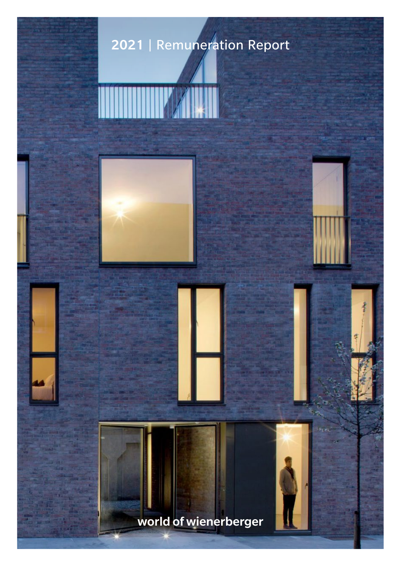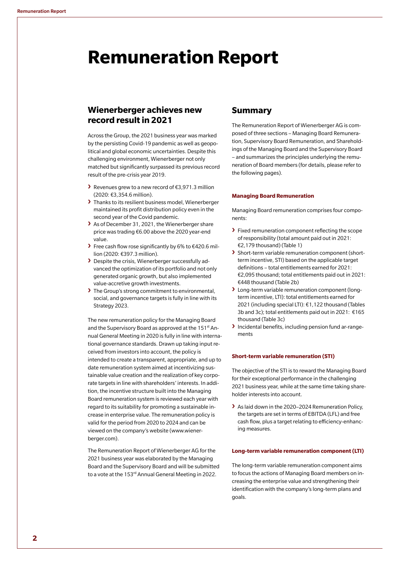# **Remuneration Report**

# **Wienerberger achieves new record result in 2021**

Across the Group, the 2021 business year was marked by the persisting Covid-19 pandemic as well as geopolitical and global economic uncertainties. Despite this challenging environment, Wienerberger not only matched but significantly surpassed its previous record result of the pre-crisis year 2019.

- **›** Revenues grew to a new record of €3,971.3 million (2020: €3,354.6 million).
- **›** Thanks to its resilient business model, Wienerberger maintained its profit distribution policy even in the second year of the Covid pandemic.
- **›** As of December 31, 2021, the Wienerberger share price was trading €6.00 above the 2020 year-end value.
- **›** Free cash flow rose significantly by 6% to €420.6 million (2020: €397.3 million).
- **›** Despite the crisis, Wienerberger successfully advanced the optimization of its portfolio and not only generated organic growth, but also implemented value-accretive growth investments.
- **›** The Group's strong commitment to environmental, social, and governance targets is fully in line with its Strategy 2023.

The new remuneration policy for the Managing Board and the Supervisory Board as approved at the 151<sup>st</sup> Annual General Meeting in 2020 is fully in line with international governance standards. Drawn up taking input received from investors into account, the policy is intended to create a transparent, appropriate, and up to date remuneration system aimed at incentivizing sustainable value creation and the realization of key corporate targets in line with shareholders' interests. In addition, the incentive structure built into the Managing Board remuneration system is reviewed each year with regard to its suitability for promoting a sustainable increase in enterprise value. The remuneration policy is valid for the period from 2020 to 2024 and can be viewed on the company's website (www.wienerberger.com).

The Remuneration Report of Wienerberger AG for the 2021 business year was elaborated by the Managing Board and the Supervisory Board and will be submitted to a vote at the 153<sup>rd</sup> Annual General Meeting in 2022.

## **Summary**

The Remuneration Report of Wienerberger AG is composed of three sections – Managing Board Remuneration, Supervisory Board Remuneration, and Shareholdings of the Managing Board and the Supervisory Board – and summarizes the principles underlying the remuneration of Board members (for details, please refer to the following pages).

## **Managing Board Remuneration**

Managing Board remuneration comprises four components:

- **›** Fixed remuneration component reflecting the scope of responsibility (total amount paid out in 2021: €2,179 thousand) (Table 1)
- **›** Short-term variable remuneration component (shortterm incentive, STI) based on the applicable target definitions – total entitlements earned for 2021: €2,095 thousand; total entitlements paid out in 2021: €448 thousand (Table 2b)
- **›** Long-term variable remuneration component (longterm incentive, LTI): total entitlements earned for 2021 (including special LTI): €1,122 thousand (Tables 3b and 3c); total entitlements paid out in 2021: €165 thousand (Table 3c)
- **›** Incidental benefits, including pension fund ar-rangements

## **Short-term variable remuneration (STI)**

The objective of the STI is to reward the Managing Board for their exceptional performance in the challenging 2021 business year, while at the same time taking shareholder interests into account.

**›** As laid down in the 2020–2024 Remuneration Policy, the targets are set in terms of EBITDA (LFL) and free cash flow, plus a target relating to efficiency-enhancing measures.

## **Long-term variable remuneration component (LTI)**

The long-term variable remuneration component aims to focus the actions of Managing Board members on increasing the enterprise value and strengthening their identification with the company's long-term plans and goals.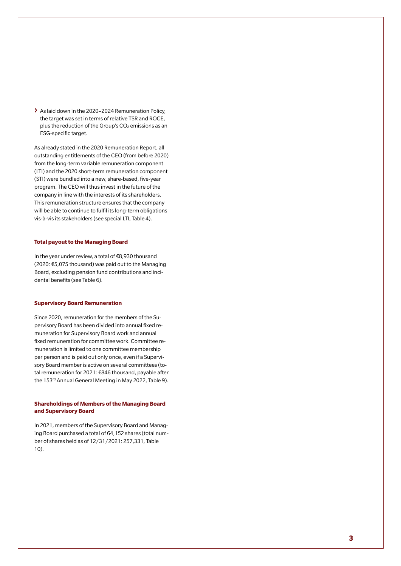**›** As laid down in the 2020–2024 Remuneration Policy, the target was set in terms of relative TSR and ROCE, plus the reduction of the Group's  $CO<sub>2</sub>$  emissions as an ESG-specific target.

As already stated in the 2020 Remuneration Report, all outstanding entitlements of the CEO (from before 2020) from the long-term variable remuneration component (LTI) and the 2020 short-term remuneration component (STI) were bundled into a new, share-based, five-year program. The CEO will thus invest in the future of the company in line with the interests of its shareholders. This remuneration structure ensures that the company will be able to continue to fulfil its long-term obligations vis-à-vis its stakeholders (see special LTI, Table 4).

## **Total payout to the Managing Board**

In the year under review, a total of €8,930 thousand (2020: €5,075 thousand) was paid out to the Managing Board, excluding pension fund contributions and incidental benefits (see Table 6).

#### **Supervisory Board Remuneration**

Since 2020, remuneration for the members of the Supervisory Board has been divided into annual fixed remuneration for Supervisory Board work and annual fixed remuneration for committee work. Committee remuneration is limited to one committee membership per person and is paid out only once, even if a Supervisory Board member is active on several committees (total remuneration for 2021: €846 thousand, payable after the 153<sup>rd</sup> Annual General Meeting in May 2022, Table 9).

## **Shareholdings of Members of the Managing Board and Supervisory Board**

In 2021, members of the Supervisory Board and Managing Board purchased a total of 64,152 shares (total number of shares held as of 12/31/2021: 257,331, Table 10).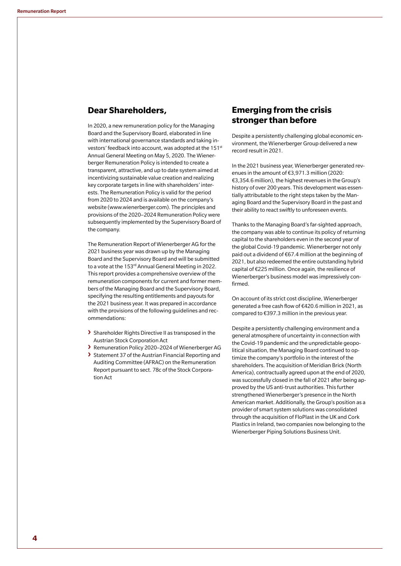# **Dear Shareholders,**

In 2020, a new remuneration policy for the Managing Board and the Supervisory Board, elaborated in line with international governance standards and taking investors' feedback into account, was adopted at the 151st Annual General Meeting on May 5, 2020. The Wienerberger Remuneration Policy is intended to create a transparent, attractive, and up to date system aimed at incentivizing sustainable value creation and realizing key corporate targets in line with shareholders' interests. The Remuneration Policy is valid for the period from 2020 to 2024 and is available on the company's website (www.wienerberger.com). The principles and provisions of the 2020–2024 Remuneration Policy were subsequently implemented by the Supervisory Board of the company.

The Remuneration Report of Wienerberger AG for the 2021 business year was drawn up by the Managing Board and the Supervisory Board and will be submitted to a vote at the 153<sup>rd</sup> Annual General Meeting in 2022. This report provides a comprehensive overview of the remuneration components for current and former members of the Managing Board and the Supervisory Board, specifying the resulting entitlements and payouts for the 2021 business year. It was prepared in accordance with the provisions of the following guidelines and recommendations:

- **›** Shareholder Rights Directive II as transposed in the Austrian Stock Corporation Act
- **›** Remuneration Policy 2020–2024 of Wienerberger AG
- **›** Statement 37 of the Austrian Financial Reporting and Auditing Committee (AFRAC) on the Remuneration Report pursuant to sect. 78c of the Stock Corporation Act

# **Emerging from the crisis stronger than before**

Despite a persistently challenging global economic environment, the Wienerberger Group delivered a new record result in 2021.

In the 2021 business year, Wienerberger generated revenues in the amount of €3,971.3 million (2020: €3,354.6 million), the highest revenues in the Group's history of over 200 years. This development was essentially attributable to the right steps taken by the Managing Board and the Supervisory Board in the past and their ability to react swiftly to unforeseen events.

Thanks to the Managing Board's far-sighted approach, the company was able to continue its policy of returning capital to the shareholders even in the second year of the global Covid-19 pandemic. Wienerberger not only paid out a dividend of €67.4 million at the beginning of 2021, but also redeemed the entire outstanding hybrid capital of €225 million. Once again, the resilience of Wienerberger's business model was impressively confirmed.

On account of its strict cost discipline, Wienerberger generated a free cash flow of €420.6 million in 2021, as compared to €397.3 million in the previous year.

Despite a persistently challenging environment and a general atmosphere of uncertainty in connection with the Covid-19 pandemic and the unpredictable geopolitical situation, the Managing Board continued to optimize the company's portfolio in the interest of the shareholders. The acquisition of Meridian Brick (North America), contractually agreed upon at the end of 2020, was successfully closed in the fall of 2021 after being approved by the US anti-trust authorities. This further strengthened Wienerberger's presence in the North American market. Additionally, the Group's position as a provider of smart system solutions was consolidated through the acquisition of FloPlast in the UK and Cork Plastics in Ireland, two companies now belonging to the Wienerberger Piping Solutions Business Unit.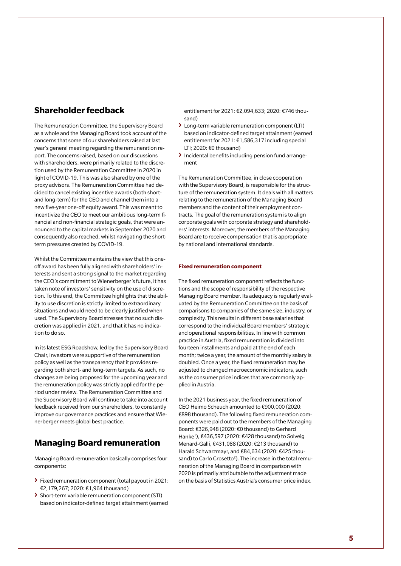# **Shareholder feedback**

The Remuneration Committee, the Supervisory Board as a whole and the Managing Board took account of the concerns that some of our shareholders raised at last year's general meeting regarding the remuneration report. The concerns raised, based on our discussions with shareholders, were primarily related to the discretion used by the Remuneration Committee in 2020 in light of COVID-19. This was also shared by one of the proxy advisors. The Remuneration Committee had decided to cancel existing incentive awards (both shortand long-term) for the CEO and channel them into a new five-year one-off equity award. This was meant to incentivize the CEO to meet our ambitious long-term financial and non-financial strategic goals, that were announced to the capital markets in September 2020 and consequently also reached, whilst navigating the shortterm pressures created by COVID-19.

Whilst the Committee maintains the view that this oneoff award has been fully aligned with shareholders' interests and sent a strong signal to the market regarding the CEO's commitment to Wienerberger's future, it has taken note of investors' sensitivity on the use of discretion. To this end, the Committee highlights that the ability to use discretion is strictly limited to extraordinary situations and would need to be clearly justified when used. The Supervisory Board stresses that no such discretion was applied in 2021, and that it has no indication to do so.

In its latest ESG Roadshow, led by the Supervisory Board Chair, investors were supportive of the remuneration policy as well as the transparency that it provides regarding both short- and long-term targets. As such, no changes are being proposed for the upcoming year and the remuneration policy was strictly applied for the period under review. The Remuneration Committee and the Supervisory Board will continue to take into account feedback received from our shareholders, to constantly improve our governance practices and ensure that Wienerberger meets global best practice.

# **Managing Board remuneration**

Managing Board remuneration basically comprises four components:

- **›** Fixed remuneration component (total payout in 2021: €2,179,267; 2020: €1,964 thousand)
- **›** Short-term variable remuneration component (STI) based on indicator-defined target attainment (earned

entitlement for 2021: €2,094,633; 2020: €746 thousand)

- **›** Long-term variable remuneration component (LTI) based on indicator-defined target attainment (earned entitlement for 2021: €1,586,317 including special LTI; 2020: €0 thousand)
- **›** Incidental benefits including pension fund arrangement

The Remuneration Committee, in close cooperation with the Supervisory Board, is responsible for the structure of the remuneration system. It deals with all matters relating to the remuneration of the Managing Board members and the content of their employment contracts. The goal of the remuneration system is to align corporate goals with corporate strategy and shareholders' interests. Moreover, the members of the Managing Board are to receive compensation that is appropriate by national and international standards.

## **Fixed remuneration component**

The fixed remuneration component reflects the functions and the scope of responsibility of the respective Managing Board member. Its adequacy is regularly evaluated by the Remuneration Committee on the basis of comparisons to companies of the same size, industry, or complexity. This results in different base salaries that correspond to the individual Board members' strategic and operational responsibilities. In line with common practice in Austria, fixed remuneration is divided into fourteen installments and paid at the end of each month; twice a year, the amount of the monthly salary is doubled. Once a year, the fixed remuneration may be adjusted to changed macroeconomic indicators, such as the consumer price indices that are commonly applied in Austria.

In the 2021 business year, the fixed remuneration of CEO Heimo Scheuch amounted to €900,000 (2020: €898 thousand). The following fixed remuneration components were paid out to the members of the Managing Board: €326,948 (2020: €0 thousand) to Gerhard Hanke<sup>1</sup>), €436,597 (2020: €428 thousand) to Solveig Menard-Galli, €431,088 (2020: €213 thousand) to Harald Schwarzmayr, and €84,634 (2020: €425 thousand) to Carlo Crosetto<sup>2</sup>). The increase in the total remuneration of the Managing Board in comparison with 2020 is primarily attributable to the adjustment made on the basis of Statistics Austria's consumer price index.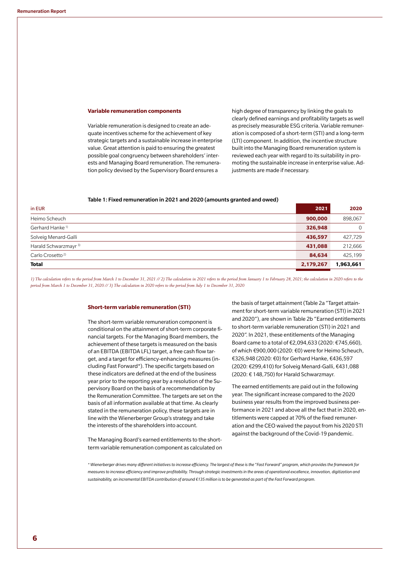#### **Variable remuneration components**

Variable remuneration is designed to create an adequate incentives scheme for the achievement of key strategic targets and a sustainable increase in enterprise value. Great attention is paid to ensuring the greatest possible goal congruency between shareholders' interests and Managing Board remuneration. The remuneration policy devised by the Supervisory Board ensures a

high degree of transparency by linking the goals to clearly defined earnings and profitability targets as well as precisely measurable ESG criteria. Variable remuneration is composed of a short-term (STI) and a long-term (LTI) component. In addition, the incentive structure built into the Managing Board remuneration system is reviewed each year with regard to its suitability in promoting the sustainable increase in enterprise value. Adjustments are made if necessary.

### Table 1: Fixed remuneration in 2021 and 2020 (amounts granted and owed)

| in EUR                           | 2021      | 2020         |
|----------------------------------|-----------|--------------|
| Heimo Scheuch                    | 900,000   | 898,067      |
| Gerhard Hanke <sup>1)</sup>      | 326,948   | $\mathbf{0}$ |
| Solveig Menard-Galli             | 436,597   | 427,729      |
| Harald Schwarzmayr <sup>3)</sup> | 431,088   | 212,666      |
| Carlo Crosetto <sup>2)</sup>     | 84,634    | 425,199      |
| <b>Total</b>                     | 2,179,267 | 1,963,661    |
|                                  |           |              |

*1) The calculation refers to the period from March 1 to December 31, 2021 // 2) The calculation in 2021 refers to the period from January 1 to February 28, 2021; the calculation in 2020 refers to the period from March 1 to December 31, 2020 // 3) The calculation in 2020 refers to the period from July 1 to December 31, 2020*

#### **Short-term variable remuneration (STI)**

The short-term variable remuneration component is conditional on the attainment of short-term corporate financial targets. For the Managing Board members, the achievement of these targets is measured on the basis of an EBITDA (EBITDA LFL) target, a free cash flow target, and a target for efficiency-enhancing measures (including Fast Forward\*). The specific targets based on these indicators are defined at the end of the business year prior to the reporting year by a resolution of the Supervisory Board on the basis of a recommendation by the Remuneration Committee. The targets are set on the basis of all information available at that time. As clearly stated in the remuneration policy, these targets are in line with the Wienerberger Group's strategy and take the interests of the shareholders into account.

The Managing Board's earned entitlements to the shortterm variable remuneration component as calculated on the basis of target attainment (Table 2a "Target attainment for short-term variable remuneration (STI) in 2021 and 2020"), are shown in Table 2b "Earned entitlements to short-term variable remuneration (STI) in 2021 and 2020". In 2021, these entitlements of the Managing Board came to a total of €2,094,633 (2020: €745,660), of which €900,000 (2020: €0) were for Heimo Scheuch, €326,948 (2020: €0) for Gerhard Hanke, €436,597 (2020: €299,410) for Solveig Menard-Galli, €431,088 (2020: € 148,750) for Harald Schwarzmayr.

The earned entitlements are paid out in the following year. The significant increase compared to the 2020 business year results from the improved business performance in 2021 and above all the fact that in 2020, entitlements were capped at 70% of the fixed remuneration and the CEO waived the payout from his 2020 STI against the background of the Covid-19 pandemic.

*\* Wienerberger drives many different initiatives to increase efficiency. The largest of these is the "Fast Forward" program, which provides the framework for measures to increase efficiency and improve profitability. Through strategic investments in the areas of operational excellence, innovation, digitization and sustainability, an incremental EBITDA contribution of around €135 million is to be generated as part of the Fast Forward program.*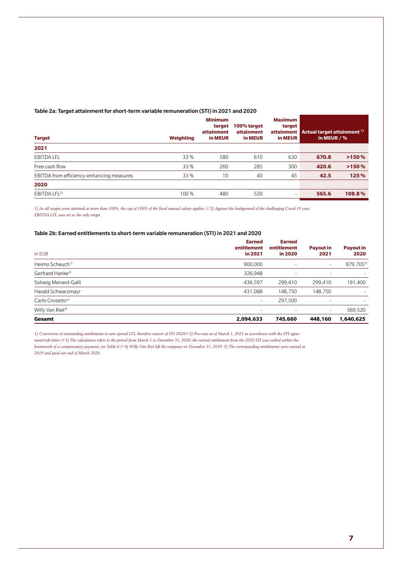| Table 2a: Target attainment for short-term variable remuneration (STI) in 2021 and 2020 |  |  |
|-----------------------------------------------------------------------------------------|--|--|
|                                                                                         |  |  |
|                                                                                         |  |  |

| <b>Target</b>                             | Weighting | <b>Minimum</b><br>target<br>attainment<br>in MEUR | 100% target<br>attainment<br>in MEUR | <b>Maximum</b><br>target<br>in MEUR | attainment Actual target attainment <sup>1)</sup><br>in MEUR $/$ % |        |
|-------------------------------------------|-----------|---------------------------------------------------|--------------------------------------|-------------------------------------|--------------------------------------------------------------------|--------|
| 2021                                      |           |                                                   |                                      |                                     |                                                                    |        |
| <b>EBITDA LFL</b>                         | 33 %      | 580                                               | 610                                  | 630                                 | 670.8                                                              | >150%  |
| Free cash flow                            | 33 %      | 260                                               | 285                                  | 300                                 | 420.6                                                              | >150%  |
| EBITDA from efficiency-enhancing measures | 33 %      | 10                                                | 40                                   | 45                                  | 42.5                                                               | 125 %  |
| 2020                                      |           |                                                   |                                      |                                     |                                                                    |        |
| EBITDA LFL <sup>2)</sup>                  | 100 %     | 480                                               | 520                                  | $\overline{\phantom{a}}$            | 565.6                                                              | 108.8% |

*1) As all targets were attained at more than 100%, the cap of 100% of the fixed annual salary applies. // 2) Against the background of the challenging Covid-19 year, EBITDA LFL was set as the only target.*

## Table 2b: Earned entitlements to short-term variable remuneration (STI) in 2021 and 2020

| in EUR                       | <b>Earned</b><br>entitlement<br>in 2021 | <b>Earned</b><br>entitlement<br>in 2020 | <b>Payout in</b><br>2021 | <b>Payout in</b><br>2020 |
|------------------------------|-----------------------------------------|-----------------------------------------|--------------------------|--------------------------|
| Heimo Scheuch <sup>1)</sup>  | 900,000                                 |                                         | ٠                        | 879,7055)                |
| Gerhard Hanke <sup>2)</sup>  | 326,948                                 | ٠                                       | $\overline{\phantom{a}}$ |                          |
| Solveig Menard-Galli         | 436,597                                 | 299.410                                 | 299.410                  | 191,400                  |
| Harald Schwarzmayr           | 431,088                                 | 148.750                                 | 148,750                  |                          |
| Carlo Crosetto <sup>3)</sup> | $\overline{\phantom{a}}$                | 297.500                                 | $\overline{\phantom{a}}$ | ٠                        |
| Willy Van Riet <sup>4)</sup> | ٠                                       | $\overline{\phantom{a}}$                | $\overline{\phantom{a}}$ | 569,520                  |
| Gesamt                       | 2,094,633                               | 745,660                                 | 448,160                  | 1,640,625                |

*1) Conversion of outstanding entitlements to new special LTI, therefore waiver of STI 2020// 2) Pro-rata as of March 1, 2021 in accordance with the STI agreement/side letter // 3) The calculation refers to the period from March 1 to December 31, 2020; the earned entitlement from the 2020 STI was settled within the framework of a compensatory payment, see Table 6 // 4) Willy Van Riet left the company on December 31, 2019. 5) The corresponding entitlements were earned in 2019 and paid out end of March 2020.*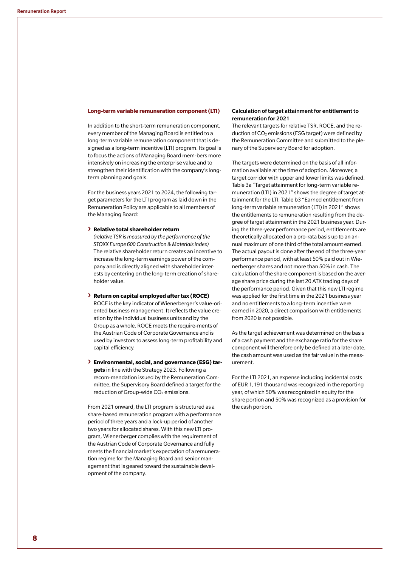#### **Long-term variable remuneration component (LTI)**

In addition to the short-term remuneration component, every member of the Managing Board is entitled to a long-term variable remuneration component that is designed as a long-term incentive (LTI) program. Its goal is to focus the actions of Managing Board mem-bers more intensively on increasing the enterprise value and to strengthen their identification with the company's longterm planning and goals.

For the business years 2021 to 2024, the following target parameters for the LTI program as laid down in the Remuneration Policy are applicable to all members of the Managing Board:

#### **› Relative total shareholder return**

*(relative TSR is measured by the performance of the STOXX Europe 600 Construction & Materials index)* The relative shareholder return creates an incentive to increase the long-term earnings power of the company and is directly aligned with shareholder interests by centering on the long-term creation of shareholder value.

## **› Return on capital employed after tax (ROCE)** ROCE is the key indicator of Wienerberger's value-oriented business management. It reflects the value creation by the individual business units and by the Group as a whole. ROCE meets the require-ments of the Austrian Code of Corporate Governance and is used by investors to assess long-term profitability and capital efficiency.

**› Environmental, social, and governance (ESG) targets** in line with the Strategy 2023. Following a recom-mendation issued by the Remuneration Committee, the Supervisory Board defined a target for the reduction of Group-wide CO<sub>2</sub> emissions.

From 2021 onward, the LTI program is structured as a share-based remuneration program with a performance period of three years and a lock-up period of another two years for allocated shares. With this new LTI program, Wienerberger complies with the requirement of the Austrian Code of Corporate Governance and fully meets the financial market's expectation of a remuneration regime for the Managing Board and senior management that is geared toward the sustainable development of the company.

## Calculation of target attainment for entitlement to remuneration for 2021

The relevant targets for relative TSR, ROCE, and the reduction of CO2 emissions (ESG target) were defined by the Remuneration Committee and submitted to the plenary of the Supervisory Board for adoption.

The targets were determined on the basis of all information available at the time of adoption. Moreover, a target corridor with upper and lower limits was defined. Table 3a "Target attainment for long-term variable remuneration (LTI) in 2021" shows the degree of target attainment for the LTI. Table b3 "Earned entitlement from long-term variable remuneration (LTI) in 2021" shows the entitlements to remuneration resulting from the degree of target attainment in the 2021 business year. During the three-year performance period, entitlements are theoretically allocated on a pro-rata basis up to an annual maximum of one third of the total amount earned. The actual payout is done after the end of the three-year performance period, with at least 50% paid out in Wienerberger shares and not more than 50% in cash. The calculation of the share component is based on the average share price during the last 20 ATX trading days of the performance period. Given that this new LTI regime was applied for the first time in the 2021 business year and no entitlements to a long-term incentive were earned in 2020, a direct comparison with entitlements from 2020 is not possible.

As the target achievement was determined on the basis of a cash payment and the exchange ratio for the share component will therefore only be defined at a later date, the cash amount was used as the fair value in the measurement.

For the LTI 2021, an expense including incidental costs of EUR 1,191 thousand was recognized in the reporting year, of which 50% was recognized in equity for the share portion and 50% was recognized as a provision for the cash portion.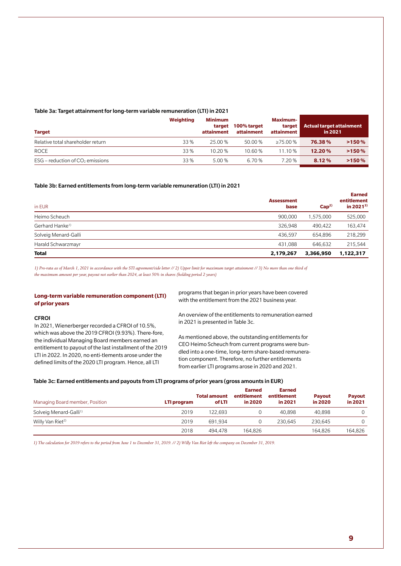#### Table 3a: Target attainment for long-term variable remuneration (LTI) in 2021

| <b>Target</b>                        | Weighting | <b>Minimum</b><br>target<br>attainment | 100% target<br>attainment | <b>Maximum-</b><br>target  <br>attainment | <b>Actual target attainment</b><br>in 2021 |       |
|--------------------------------------|-----------|----------------------------------------|---------------------------|-------------------------------------------|--------------------------------------------|-------|
| Relative total shareholder return    | 33 %      | 25.00 %                                | 50.00%                    | $>75.00\%$                                | 76.38%                                     | >150% |
| ROCE                                 | 33 %      | 10.20%                                 | 10.60 %                   | 11.10%                                    | 12.20%                                     | >150% |
| $ESG$ – reduction of $CO2$ emissions | 33 %      | 5.00%                                  | 6.70 %                    | 7.20 %                                    | 8.12%                                      | >150% |

## Table 3b: Earned entitlements from long-term variable remuneration (LTI) in 2021

| in EUR                      | <b>Assessment</b><br>base | Cap <sup>2</sup> | <b>Earned</b><br>entitlement<br>in 2021 <sup>3)</sup> |  |
|-----------------------------|---------------------------|------------------|-------------------------------------------------------|--|
| Heimo Scheuch               | 900,000                   | 1,575,000        | 525,000                                               |  |
| Gerhard Hanke <sup>1)</sup> | 326.948                   | 490.422          | 163,474                                               |  |
| Solveig Menard-Galli        | 436,597                   | 654.896          | 218,299                                               |  |
| Harald Schwarzmayr          | 431.088                   | 646.632          | 215,544                                               |  |
| Total                       | 2,179,267                 | 3,366,950        | 1,122,317                                             |  |

*1) Pro-rata as of March 1, 2021 in accordance with the STI agreement/side letter // 2) Upper limit for maximum target attainment // 3) No more than one third of the maximum amount per year, payout not earlier than 2024, at least 50% in shares (holding period 2 years)*

## **Long-term variable remuneration component (LTI) of prior years**

#### **CFROI**

In 2021, Wienerberger recorded a CFROI of 10.5%, which was above the 2019 CFROI (9.93%). There-fore, the individual Managing Board members earned an entitlement to payout of the last installment of the 2019 LTI in 2022. In 2020, no enti-tlements arose under the defined limits of the 2020 LTI program. Hence, all LTI

programs that began in prior years have been covered with the entitlement from the 2021 business year.

An overview of the entitlements to remuneration earned in 2021 is presented in Table 3c.

As mentioned above, the outstanding entitlements for CEO Heimo Scheuch from current programs were bundled into a one-time, long-term share-based remuneration component. Therefore, no further entitlements from earlier LTI programs arose in 2020 and 2021.

#### Table 3c: Earned entitlements and payouts from LTI programs of prior years (gross amounts in EUR)

| Managing Board member, Position    | LTI program | <b>Total amount</b><br>of LTI | <b>Earned</b><br>entitlement<br>in 2020 | Earned<br>entitlement<br>in 2021 | <b>Payout</b><br>in 2020 | Payout<br>in 2021 |
|------------------------------------|-------------|-------------------------------|-----------------------------------------|----------------------------------|--------------------------|-------------------|
| Solveig Menard-Galli <sup>1)</sup> | 2019        | 122.693                       |                                         | 40.898                           | 40.898                   | 0                 |
| Willy Van Riet <sup>2)</sup>       | 2019        | 691.934                       |                                         | 230.645                          | 230.645                  | 0                 |
|                                    | 2018        | 494.478                       | 164.826                                 |                                  | 164.826                  | 164.826           |

*1) The calculation for 2019 refers to the period from June 1 to December 31, 2019. // 2) Willy Van Riet left the company on December 31, 2019.*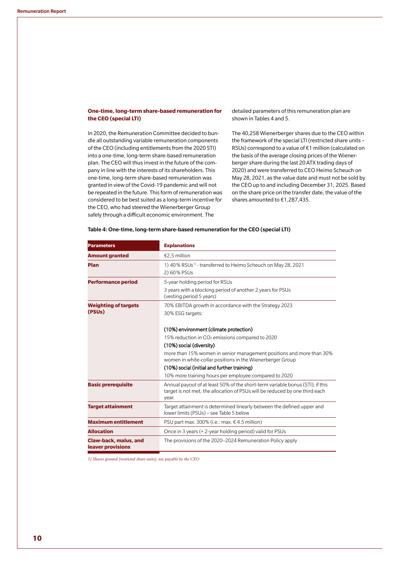## **One-time, long-term share-based remuneration for the CEO (special LTI)**

In 2020, the Remuneration Committee decided to bundle all outstanding variable remuneration components of the CEO (including entitlements from the 2020 STI) into a one-time, long-term share-based remuneration plan. The CEO will thus invest in the future of the company in line with the interests of its shareholders. This one-time, long-term share-based remuneration was granted in view of the Covid-19 pandemic and will not be repeated in the future. This form of remuneration was considered to be best suited as a long-term incentive for the CEO, who had steered the Wienerberger Group safely through a difficult economic environment. The

detailed parameters of this remuneration plan are shown in Tables 4 and 5.

The 40,258 Wienerberger shares due to the CEO within the framework of the special LTI (restricted share units – RSUs) correspond to a value of €1 million (calculated on the basis of the average closing prices of the Wienerberger share during the last 20 ATX trading days of 2020) and were transferred to CEO Heimo Scheuch on May 28, 2021, as the value date and must not be sold by the CEO up to and including December 31, 2025. Based on the share price on the transfer date, the value of the shares amounted to €1,287,435.

| <b>Parameters</b>                                  | <b>Explanations</b>                                                                                                                                                   |
|----------------------------------------------------|-----------------------------------------------------------------------------------------------------------------------------------------------------------------------|
| <b>Amount granted</b>                              | €2,5 million                                                                                                                                                          |
| Plan                                               | 1) 40% RSUs <sup>1)</sup> - transferred to Heimo Scheuch on May 28, 2021<br>2) 60% PSUs                                                                               |
| <b>Performance period</b>                          | 5-year holding period for RSUs<br>3 years with a blocking period of another 2 years for PSUs<br>(vesting period 5 years)                                              |
| <b>Weighting of targets</b><br>(PSU <sub>s</sub> ) | 70% EBITDA growth in accordance with the Strategy 2023<br>30% ESG targets:                                                                                            |
|                                                    | (10%) environment (climate protection)                                                                                                                                |
|                                                    | 15% reduction in $CO2$ emissions compared to 2020                                                                                                                     |
|                                                    | (10%) social (diversity)                                                                                                                                              |
|                                                    | more than 15% women in senior management positions and more than 30%<br>women in white-collar positions in the Wienerberger Group                                     |
|                                                    | (10%) social (initial and further training)                                                                                                                           |
|                                                    | 10% more training hours per employee compared to 2020                                                                                                                 |
| <b>Basic prerequisite</b>                          | Annual payout of at least 50% of the short-term variable bonus (STI); if this<br>target is not met, the allocation of PSUs will be reduced by one third each<br>year. |
| <b>Target attainment</b>                           | Target attainment is determined linearly between the defined upper and<br>lower limits (PSUs) – see Table 5 below                                                     |
| <b>Maximum entitlement</b>                         | PSU part max. 300% (i.e.: max. $\epsilon$ 4.5 million)                                                                                                                |
| <b>Allocation</b>                                  | Once in 3 years (+2-year holding period) valid for PSUs                                                                                                               |
| Claw-back, malus, and<br>leaver provisions         | The provisions of the 2020–2024 Remuneration Policy apply                                                                                                             |

## Table 4: One-time, long-term share-based remuneration for the CEO (special LTI)

*1) Shares granted (restricted share units), tax payable by the CEO*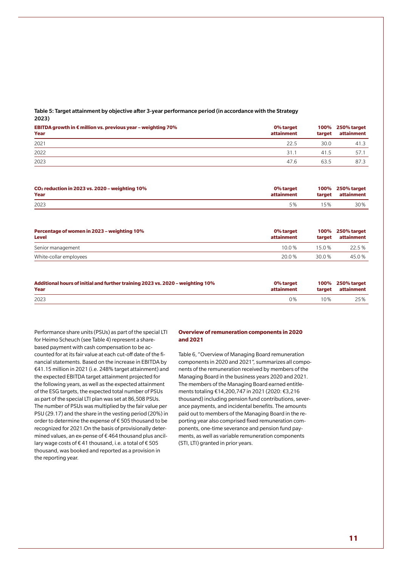## Table 5: Target attainment by objective after 3-year performance period (in accordance with the Strategy 2023)

| EBITDA growth in $\epsilon$ million vs. previous year – weighting 70%<br>Year | 0% target<br>attainment | target | 100% 250% target<br>attainment |
|-------------------------------------------------------------------------------|-------------------------|--------|--------------------------------|
| 2021                                                                          | 22.5                    | 30.0   | 41.3                           |
| 2022                                                                          | 31.1                    | 41.5   | 57.1                           |
| 2023                                                                          | 47.6                    | 63.5   | 87.3                           |

| $CO2$ reduction in 2023 vs. 2020 – weighting 10% | 0% target  | target | 100% 250% target |
|--------------------------------------------------|------------|--------|------------------|
| Year                                             | attainment |        | attainment       |
| 2023                                             | 5%         | .5%    | 30%              |

| Percentage of women in 2023 – weighting 10%<br><b>Level</b> | 0% target<br>attainment | target | 100% 250% target<br>attainment |
|-------------------------------------------------------------|-------------------------|--------|--------------------------------|
| Senior management                                           | 10 0 $%$                | 150%   | 22.5%                          |
| White-collar employees                                      | 20.0 %                  | 30.0 % | 45.0 %                         |

| Additional hours of initial and further training 2023 vs. 2020 – weighting 10% | 0% target  | target | 100% 250% target |
|--------------------------------------------------------------------------------|------------|--------|------------------|
| Year                                                                           | attainment |        | attainment       |
| 2023                                                                           | 0%         | $10\%$ | 25%              |

Performance share units (PSUs) as part of the special LTI for Heimo Scheuch (see Table 4) represent a sharebased payment with cash compensation to be accounted for at its fair value at each cut-off date of the financial statements. Based on the increase in EBITDA by €41.15 million in 2021 (i.e. 248% target attainment) and the expected EBITDA target attainment projected for the following years, as well as the expected attainment of the ESG targets, the expected total number of PSUs as part of the special LTI plan was set at 86,508 PSUs. The number of PSUs was multiplied by the fair value per PSU (29.17) and the share in the vesting period (20%) in order to determine the expense of € 505 thousand to be recognized for 2021.On the basis of provisionally determined values, an ex-pense of € 464 thousand plus ancillary wage costs of € 41 thousand, i.e. a total of € 505 thousand, was booked and reported as a provision in the reporting year.

## **Overview of remuneration components in 2020 and 2021**

Table 6, "Overview of Managing Board remuneration components in 2020 and 2021", summarizes all components of the remuneration received by members of the Managing Board in the business years 2020 and 2021. The members of the Managing Board earned entitlements totaling €14,200,747 in 2021 (2020: €3,216 thousand) including pension fund contributions, severance payments, and incidental benefits. The amounts paid out to members of the Managing Board in the reporting year also comprised fixed remuneration components, one-time severance and pension fund payments, as well as variable remuneration components (STI, LTI) granted in prior years.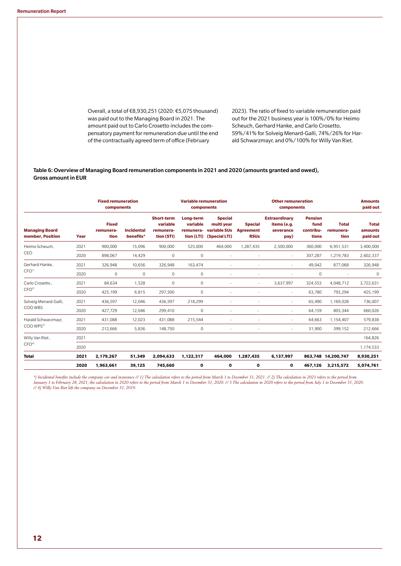Overall, a total of €8,930,251 (2020: €5,075 thousand) was paid out to the Managing Board in 2021. The amount paid out to Carlo Crosetto includes the compensatory payment for remuneration due until the end of the contractually agreed term of office (February

2023). The ratio of fixed to variable remuneration paid out for the 2021 business year is 100%/0% for Heimo Scheuch, Gerhard Hanke, and Carlo Crosetto, 59%/41% for Solveig Menard-Galli, 74%/26% for Harald Schwarzmayr, and 0%/100% for Willy Van Riet.

## Table 6: Overview of Managing Board remuneration components in 2021 and 2020 (amounts granted and owed), Gross amount in EUR

|                                           |      | <b>Fixed remuneration</b><br>components |                                | <b>Variable remuneration</b><br>components               |                                                  |                                                               | <b>Other remuneration</b><br>components                      |                                                          |                                              | <b>Amounts</b><br>paid out        |                                     |
|-------------------------------------------|------|-----------------------------------------|--------------------------------|----------------------------------------------------------|--------------------------------------------------|---------------------------------------------------------------|--------------------------------------------------------------|----------------------------------------------------------|----------------------------------------------|-----------------------------------|-------------------------------------|
| <b>Managing Board</b><br>member, Position | Year | <b>Fixed</b><br>remunera-<br>tion       | <b>Incidental</b><br>benefits* | <b>Short-term</b><br>variable<br>remunera-<br>tion (STI) | Long-term<br>variable<br>remunera-<br>tion (LTI) | <b>Special</b><br>multi year<br>variable SUs<br>(Special LTI) | <b>Special</b><br><b>Agreement</b><br><b>RSU<sub>s</sub></b> | <b>Extraordinary</b><br>items (e.g.<br>severance<br>pay) | <b>Pension</b><br>fund<br>contribu-<br>tions | <b>Total</b><br>remunera-<br>tion | <b>Total</b><br>amounts<br>paid out |
| Heimo Scheuch.                            | 2021 | 900,000                                 | 15,096                         | 900,000                                                  | 525,000                                          | 464,000                                                       | 1,287,435                                                    | 2,500,000                                                | 360,000                                      | 6,951,531                         | 3,400,000                           |
| CEO                                       | 2020 | 898,067                                 | 14,429                         | 0                                                        | $\mathbf{0}$                                     | $\sim$                                                        | ٠                                                            | $\sim$                                                   | 307,287                                      | 1,219,783                         | 2,602,337                           |
| Gerhard Hanke.<br>CFO <sup>1</sup>        | 2021 | 326,948                                 | 10,656                         | 326,948                                                  | 163,474                                          |                                                               | ٠                                                            | $\overline{\phantom{a}}$                                 | 49,042                                       | 877,068                           | 326,948                             |
|                                           | 2020 | $\mathbf{0}$                            | 0                              | $\mathbf{0}$                                             | $\mathbf{0}$                                     |                                                               | ٠                                                            |                                                          | 0                                            |                                   | $\mathbf 0$                         |
| Carlo Crosetto.<br>CFO <sup>2</sup>       | 2021 | 84,634                                  | 1,528                          | $\circ$                                                  | $\mathbf{0}$                                     | ٠                                                             | $\sim$                                                       | 3,637,997                                                | 324,553                                      | 4,048,712                         | 3,722,631                           |
|                                           | 2020 | 425,199                                 | 6,815                          | 297,500                                                  | $\mathbf{0}$                                     | ٠                                                             | ٠                                                            | $\overline{\phantom{a}}$                                 | 63,780                                       | 793,294                           | 425,199                             |
| Solveig Menard-Galli,                     | 2021 | 436,597                                 | 12,046                         | 436,597                                                  | 218,299                                          |                                                               |                                                              | ٠                                                        | 65,490                                       | 1,169,028                         | 736,007                             |
| COO WBS                                   | 2020 | 427,729                                 | 12,046                         | 299,410                                                  | $\mathbf{0}$                                     |                                                               |                                                              | ٠                                                        | 64,159                                       | 803,344                           | 660,026                             |
| Harald Schwarzmayr,<br>COO WPS3)          | 2021 | 431,088                                 | 12,023                         | 431,088                                                  | 215,544                                          |                                                               |                                                              | ٠                                                        | 64,663                                       | 1,154,407                         | 579,838                             |
|                                           | 2020 | 212,666                                 | 5,836                          | 148,750                                                  | $\mathbf{0}$                                     |                                                               |                                                              | ٠                                                        | 31,900                                       | 399,152                           | 212,666                             |
| Willy Van Riet,<br>CFO <sup>4</sup>       | 2021 |                                         |                                |                                                          |                                                  |                                                               |                                                              |                                                          |                                              |                                   | 164.826                             |
|                                           | 2020 |                                         |                                |                                                          |                                                  |                                                               |                                                              |                                                          |                                              |                                   | 1,174,533                           |
| <b>Total</b>                              | 2021 | 2,179,267                               | 51,349                         | 2.094.633                                                | 1,122,317                                        | 464,000                                                       | 1,287,435                                                    | 6,137,997                                                |                                              | 863,748 14,200,747                | 8,930,251                           |
|                                           | 2020 | 1,963,661                               | 39,125                         | 745,660                                                  | 0                                                | 0                                                             | 0                                                            | $\mathbf{o}$                                             | 467,126                                      | 3,215,572                         | 5,074,761                           |

*\*) Incidental benefits include the company car and insurance // 1) The calculation refers to the period from March 1 to December 31, 2021. // 2) The calculation in 2021 refers to the period from January 1 to February 28, 2021; the calculation in 2020 refers to the period from March 1 to December 31, 2020. // 3 The calculation in 2020 refers to the period from July 1 to December 31, 2020. // 4) Willy Van Riet left the company on December 31, 2019.*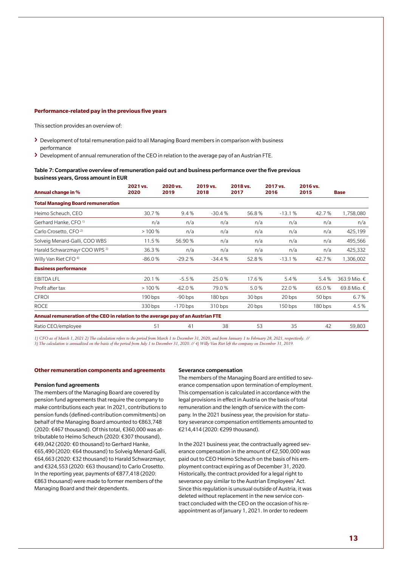#### **Performance-related pay in the previous five years**

This section provides an overview of:

- **›** Development of total remuneration paid to all Managing Board members in comparison with business performance
- **›** Development of annual remuneration of the CEO in relation to the average pay of an Austrian FTE.

#### Table 7: Comparative overview of remuneration paid out and business performance over the five previous business years, Gross amount in EUR

| Annual change in %                                                               | 2021 vs.<br>2020 | 2020 vs.<br>2019 | 2019 vs.<br>2018 | 2018 vs.<br>2017 | 2017 vs.<br>2016 | 2016 vs.<br>2015 | <b>Base</b>  |
|----------------------------------------------------------------------------------|------------------|------------------|------------------|------------------|------------------|------------------|--------------|
| <b>Total Managing Board remuneration</b>                                         |                  |                  |                  |                  |                  |                  |              |
| Heimo Scheuch, CEO                                                               | 30.7%            | 9.4%             | $-30.4%$         | 56.8%            | $-13.1%$         | 42.7%            | 1,758,080    |
| Gerhard Hanke, CFO <sup>1)</sup>                                                 | n/a              | n/a              | n/a              | n/a              | n/a              | n/a              | n/a          |
| Carlo Crosetto, CFO <sup>2)</sup>                                                | >100%            | n/a              | n/a              | n/a              | n/a              | n/a              | 425,199      |
| Solveig Menard-Galli, COO WBS                                                    | 11.5%            | 56.90 %          | n/a              | n/a              | n/a              | n/a              | 495,566      |
| Harald Schwarzmayr COO WPS 3)                                                    | 36.3%            | n/a              | n/a              | n/a              | n/a              | n/a              | 425,332      |
| Willy Van Riet CFO <sup>4)</sup>                                                 | $-86.0%$         | $-29.2%$         | $-34.4%$         | 52.8%            | $-13.1%$         | 42.7%            | 1,306,002    |
| <b>Business performance</b>                                                      |                  |                  |                  |                  |                  |                  |              |
| <b>EBITDA LFL</b>                                                                | 20.1%            | $-5.5%$          | 25.0%            | 17.6%            | 5.4%             | 5.4%             | 363.9 Mio. € |
| Profit after tax                                                                 | >100%            | $-62.0%$         | 79.0%            | 5.0%             | 22.0%            | 65.0%            | 69.8 Mio. €  |
| <b>CFROI</b>                                                                     | $190$ bps        | $-90$ bps        | $180$ bps        | 30 bps           | 20 bps           | 50 bps           | 6.7%         |
| <b>ROCE</b>                                                                      | $330$ bps        | $-170$ bps       | $310$ bps        | 20 bps           | $150$ bps        | $180$ bps        | 4.5%         |
| Annual remuneration of the CEO in relation to the average pay of an Austrian FTE |                  |                  |                  |                  |                  |                  |              |
| Ratio CEO/employee                                                               | 51               | 41               | 38               | 53               | 35               | 42               | 59,803       |

*1) CFO as of March 1, 2021 2) The calculation refers to the period from March 1 to December 31, 2020, and from January 1 to February 28, 2021, respectively. // 3) The calculation is annualized on the basis of the period from July 1 to December 31, 2020. // 4) Willy Van Riet left the company on December 31, 2019.*

## **Other remuneration components and agreements**

#### Pension fund agreements

The members of the Managing Board are covered by pension fund agreements that require the company to make contributions each year. In 2021, contributions to pension funds (defined-contribution commitments) on behalf of the Managing Board amounted to €863,748 (2020: €467 thousand). Of this total, €360,000 was attributable to Heimo Scheuch (2020: €307 thousand), €49,042 (2020: €0 thousand) to Gerhard Hanke, €65,490 (2020: €64 thousand) to Solveig Menard-Galli, €64,663 (2020: €32 thousand) to Harald Schwarzmayr, and €324,553 (2020: €63 thousand) to Carlo Crosetto. In the reporting year, payments of €877,418 (2020: €863 thousand) were made to former members of the Managing Board and their dependents.

#### Severance compensation

The members of the Managing Board are entitled to severance compensation upon termination of employment. This compensation is calculated in accordance with the legal provisions in effect in Austria on the basis of total remuneration and the length of service with the company. In the 2021 business year, the provision for statutory severance compensation entitlements amounted to €214,414 (2020: €299 thousand).

In the 2021 business year, the contractually agreed severance compensation in the amount of €2,500,000 was paid out to CEO Heimo Scheuch on the basis of his employment contract expiring as of December 31, 2020. Historically, the contract provided for a legal right to severance pay similar to the Austrian Employees' Act. Since this regulation is unusual outside of Austria, it was deleted without replacement in the new service contract concluded with the CEO on the occasion of his reappointment as of January 1, 2021. In order to redeem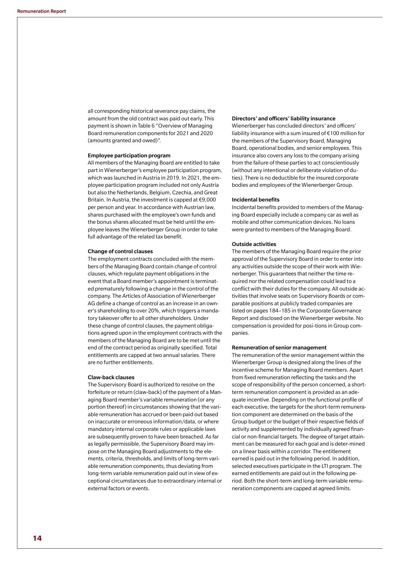all corresponding historical severance pay claims, the amount from the old contract was paid out early. This payment is shown in Table 6 "Overview of Managing Board remuneration components for 2021 and 2020 (amounts granted and owed)".

#### Employee participation program

All members of the Managing Board are entitled to take part in Wienerberger's employee participation program, which was launched in Austria in 2019. In 2021, the employee participation program included not only Austria but also the Netherlands, Belgium, Czechia, and Great Britain. In Austria, the investment is capped at €9,000 per person and year. In accordance with Austrian law, shares purchased with the employee's own funds and the bonus shares allocated must be held until the employee leaves the Wienerberger Group in order to take full advantage of the related tax benefit.

#### Change of control clauses

The employment contracts concluded with the members of the Managing Board contain change of control clauses, which regulate payment obligations in the event that a Board member's appointment is terminated prematurely following a change in the control of the company. The Articles of Association of Wienerberger AG define a change of control as an increase in an owner's shareholding to over 20%, which triggers a mandatory takeover offer to all other shareholders. Under these change of control clauses, the payment obligations agreed upon in the employment contracts with the members of the Managing Board are to be met until the end of the contract period as originally specified. Total entitlements are capped at two annual salaries. There are no further entitlements.

#### Claw-back clauses

The Supervisory Board is authorized to resolve on the forfeiture or return (claw-back) of the payment of a Managing Board member's variable remuneration (or any portion thereof) in circumstances showing that the variable remuneration has accrued or been paid out based on inaccurate or erroneous information/data, or where mandatory internal corporate rules or applicable laws are subsequently proven to have been breached. As far as legally permissible, the Supervisory Board may impose on the Managing Board adjustments to the elements, criteria, thresholds, and limits of long-term variable remuneration components, thus deviating from long-term variable remuneration paid out in view of exceptional circumstances due to extraordinary internal or external factors or events.

#### Directors' and officers' liability insurance

Wienerberger has concluded directors' and officers' liability insurance with a sum insured of €100 million for the members of the Supervisory Board, Managing Board, operational bodies, and senior employees. This insurance also covers any loss to the company arising from the failure of these parties to act conscientiously (without any intentional or deliberate violation of duties). There is no deductible for the insured corporate bodies and employees of the Wienerberger Group.

#### Incidental benefits

Incidental benefits provided to members of the Managing Board especially include a company car as well as mobile and other communication devices. No loans were granted to members of the Managing Board.

#### Outside activities

The members of the Managing Board require the prior approval of the Supervisory Board in order to enter into any activities outside the scope of their work with Wienerberger. This guarantees that neither the time required nor the related compensation could lead to a conflict with their duties for the company. All outside activities that involve seats on Supervisory Boards or comparable positions at publicly traded companies are listed on pages 184–185 in the Corporate Governance Report and disclosed on the Wienerberger website. No compensation is provided for posi-tions in Group companies.

#### Remuneration of senior management

The remuneration of the senior management within the Wienerberger Group is designed along the lines of the incentive scheme for Managing Board members. Apart from fixed remuneration reflecting the tasks and the scope of responsibility of the person concerned, a shortterm remuneration component is provided as an adequate incentive. Depending on the functional profile of each executive, the targets for the short-term remuneration component are determined on the basis of the Group budget or the budget of their respective fields of activity and supplemented by individually agreed financial or non-financial targets. The degree of target attainment can be measured for each goal and is deter-mined on a linear basis within a corridor. The entitlement earned is paid out in the following period. In addition, selected executives participate in the LTI program. The earned entitlements are paid out in the following period. Both the short-term and long-term variable remuneration components are capped at agreed limits.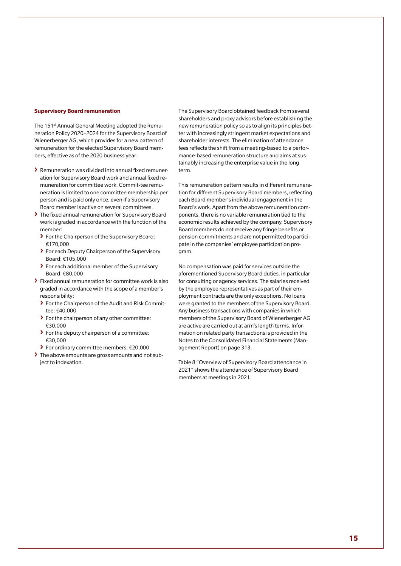#### **Supervisory Board remuneration**

The 151<sup>st</sup> Annual General Meeting adopted the Remuneration Policy 2020–2024 for the Supervisory Board of Wienerberger AG, which provides for a new pattern of remuneration for the elected Supervisory Board members, effective as of the 2020 business year:

- **›** Remunerationwas divided into annual fixed remuneration for Supervisory Board work and annual fixed remuneration for committee work. Commit-tee remuneration is limited to one committee membership per person and is paid only once, even if a Supervisory Board member is active on several committees.
- **›** The fixed annual remuneration for Supervisory Board work is graded in accordance with the function of the member:
	- **›** For the Chairperson of the Supervisory Board: €170,000
	- **›** For each Deputy Chairperson of the Supervisory Board: €105,000
	- **›** For each additional member of the Supervisory Board: €80,000
- **›** Fixed annual remuneration for committee work is also graded in accordance with the scope of a member's responsibility:
	- **›** For the Chairperson of the Audit and Risk Committee: €40,000
	- **›** For the chairperson of any other committee: €30,000
	- **›** For the deputy chairperson of a committee: €30,000
	- **›** For ordinary committee members: €20,000
- **›** The above amounts are gross amounts and not subject to indexation.

The Supervisory Board obtained feedback from several shareholders and proxy advisors before establishing the new remuneration policy so as to align its principles better with increasingly stringent market expectations and shareholder interests. The elimination of attendance fees reflects the shift from a meeting-based to a performance-based remuneration structure and aims at sustainably increasing the enterprise value in the long term.

This remuneration pattern results in different remuneration for different Supervisory Board members, reflecting each Board member's individual engagement in the Board's work. Apart from the above remuneration components, there is no variable remuneration tied to the economic results achieved by the company. Supervisory Board members do not receive any fringe benefits or pension commitments and are not permitted to participate in the companies' employee participation program.

No compensation was paid for services outside the aforementioned Supervisory Board duties, in particular for consulting or agency services. The salaries received by the employee representatives as part of their employment contracts are the only exceptions. No loans were granted to the members of the Supervisory Board. Any business transactions with companies in which members of the Supervisory Board of Wienerberger AG are active are carried out at arm's length terms. Information on related party transactions is provided in the Notes to the Consolidated Financial Statements (Management Report) on page 313.

Table 8 "Overview of Supervisory Board attendance in 2021" shows the attendance of Supervisory Board members at meetings in 2021.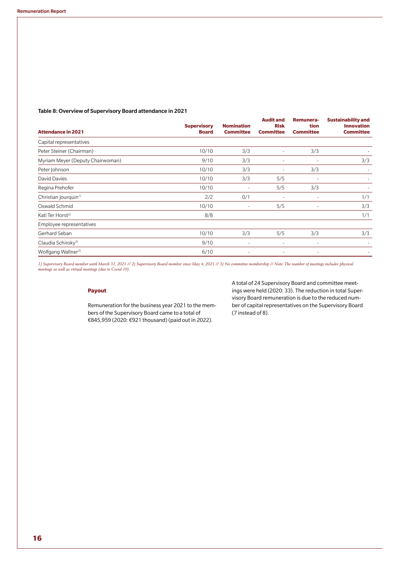## Table 8: Overview of Supervisory Board attendance in 2021

|                                  | <b>Supervisory</b> | <b>Nomination</b> | <b>Audit and</b><br><b>Risk</b> | Remunera-<br>tion        | <b>Sustainability and</b><br><b>Innovation</b> |  |
|----------------------------------|--------------------|-------------------|---------------------------------|--------------------------|------------------------------------------------|--|
| <b>Attendance in 2021</b>        | <b>Board</b>       | <b>Committee</b>  | <b>Committee</b>                | <b>Committee</b>         | <b>Committee</b>                               |  |
| Capital representatives          |                    |                   |                                 |                          |                                                |  |
| Peter Steiner (Chairman)         | 10/10              | 3/3               | ٠                               | 3/3                      |                                                |  |
| Myriam Meyer (Deputy Chairwoman) | 9/10               | 3/3               | ٠                               | $\overline{\phantom{a}}$ | 3/3                                            |  |
| Peter Johnson                    | 10/10              | 3/3               | ٠                               | 3/3                      |                                                |  |
| David Davies                     | 10/10              | 3/3               | 5/5                             |                          |                                                |  |
| Regina Prehofer                  | 10/10              | ٠                 | 5/5                             | 3/3                      |                                                |  |
| Christian Jourquin <sup>1)</sup> | 2/2                | 0/1               | ٠                               | $\sim$                   | 1/1                                            |  |
| Oswald Schmid                    | 10/10              | ٠                 | 5/5                             |                          | 3/3                                            |  |
| Kati Ter Horst <sup>2)</sup>     | 8/8                |                   |                                 |                          | 1/1                                            |  |
| Employee representatives         |                    |                   |                                 |                          |                                                |  |
| Gerhard Seban                    | 10/10              | 3/3               | 5/5                             | 3/3                      | 3/3                                            |  |
| Claudia Schiroky <sup>3)</sup>   | 9/10               | ٠                 | $\overline{\phantom{a}}$        | ٠                        |                                                |  |
| Wolfgang Wallner <sup>3)</sup>   | 6/10               | ٠                 | ٠                               | ٠                        |                                                |  |

*1) Supervisory Board member until March 31, 2021 // 2) Supervisory Board member since May 4, 2021 // 3) No committee membership // Note: The number of meetings includes physical meetings as well as virtual meetings (due to Covid-19).*

## **Payout**

Remuneration for the business year 2021 to the members of the Supervisory Board came to a total of €845,959 (2020: €921 thousand) (paid out in 2022).

A total of 24 Supervisory Board and committee meetings were held (2020: 33). The reduction in total Supervisory Board remuneration is due to the reduced number of capital representatives on the Supervisory Board (7 instead of 8).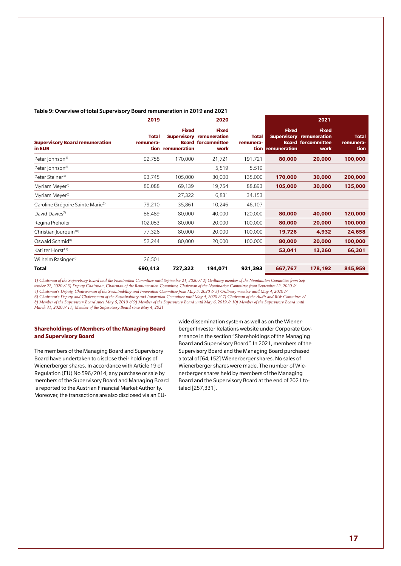|                                       | 2019      |                   | 2020                            |           |                                       | 2021                       |
|---------------------------------------|-----------|-------------------|---------------------------------|-----------|---------------------------------------|----------------------------|
|                                       |           | <b>Fixed</b>      | <b>Fixed</b>                    |           | <b>Fixed</b>                          | <b>Fixed</b>               |
|                                       | Total     |                   | <b>Supervisory remuneration</b> |           | <b>Total Supervisory remuneration</b> |                            |
| <b>Supervisory Board remuneration</b> | remunera- |                   | <b>Board for committee</b>      | remunera- |                                       | <b>Board for committee</b> |
| in EUR                                |           | tion remuneration | work                            |           | tion remuneration                     | worl                       |

#### Table 9: Overview of total Supervisory Board remuneration in 2019 and 2021

| <b>Supervisory Board remuneration</b><br>in EUR | Total<br>remunera-<br>tion | <b>Fixed</b><br><b>Supervisory</b><br>remuneration | <b>Fixed</b><br>remuneration<br><b>Board for committee</b><br>work | Total<br>remunera- | <b>Fixed</b><br>tion remuneration | <b>Fixed</b><br><b>Supervisory remuneration</b><br><b>Board for committee</b><br>work | <b>Total</b><br>remunera-<br>tion |
|-------------------------------------------------|----------------------------|----------------------------------------------------|--------------------------------------------------------------------|--------------------|-----------------------------------|---------------------------------------------------------------------------------------|-----------------------------------|
| Peter Johnson <sup>1)</sup>                     | 92,758                     | 170,000                                            | 21,721                                                             | 191,721            | 80,000                            | 20,000                                                                                | 100,000                           |
| Peter Johnson <sup>2)</sup>                     |                            |                                                    | 5,519                                                              | 5,519              |                                   |                                                                                       |                                   |
| Peter Steiner <sup>3)</sup>                     | 93,745                     | 105,000                                            | 30,000                                                             | 135,000            | 170,000                           | 30,000                                                                                | 200,000                           |
| Myriam Meyer <sup>4)</sup>                      | 80,088                     | 69,139                                             | 19,754                                                             | 88,893             | 105,000                           | 30,000                                                                                | 135,000                           |
| Myriam Meyer <sup>5)</sup>                      |                            | 27,322                                             | 6,831                                                              | 34,153             |                                   |                                                                                       |                                   |
| Caroline Grégoire Sainte Marie <sup>6)</sup>    | 79,210                     | 35,861                                             | 10,246                                                             | 46,107             |                                   |                                                                                       |                                   |
| David Davies <sup>7)</sup>                      | 86,489                     | 80,000                                             | 40,000                                                             | 120,000            | 80,000                            | 40,000                                                                                | 120,000                           |
| Regina Prehofer                                 | 102,053                    | 80,000                                             | 20,000                                                             | 100,000            | 80,000                            | 20,000                                                                                | 100,000                           |
| Christian lourguin <sup>10)</sup>               | 77,326                     | 80,000                                             | 20,000                                                             | 100,000            | 19,726                            | 4,932                                                                                 | 24,658                            |
| Oswald Schmid <sup>8)</sup>                     | 52,244                     | 80,000                                             | 20,000                                                             | 100,000            | 80,000                            | 20,000                                                                                | 100,000                           |
| Kati ter Horst <sup>11)</sup>                   |                            |                                                    |                                                                    |                    | 53,041                            | 13,260                                                                                | 66,301                            |
| Wilhelm Rasinger <sup>9)</sup>                  | 26,501                     |                                                    |                                                                    |                    |                                   |                                                                                       |                                   |
| Total                                           | 690,413                    | 727,322                                            | 194,071                                                            | 921,393            | 667,767                           | 178,192                                                                               | 845,959                           |

*1) Chairman of the Supervisory Board and the Nomination Committee until September 21, 2020 // 2) Ordinary member of the Nomination Committee from September 22, 2020 // 3) Deputy Chairman, Chairman of the Remuneration Committee, Chairman of the Nomination Committee from September 22, 2020 // 4) Chairman's Deputy, Chairwoman of the Sustainability and Innovation Committee from May 5, 2020 // 5) Ordinary member until May 4, 2020 //* 

*6) Chairman's Deputy and Chairwoman of the Sustainability and Innovation Committee until May 4, 2020 // 7) Chairman of the Audit and Risk Committee // 8) Member of the Supervisory Board since May 6, 2019 // 9) Member of the Supervisory Board until May 6, 2019 // 10) Member of the Supervisory Board until March 31, 2020 // 11) Member of the Supervisory Board since May 4, 2021*

# **Shareholdings of Members of the Managing Board and Supervisory Board**

The members of the Managing Board and Supervisory Board have undertaken to disclose their holdings of Wienerberger shares. In accordance with Article 19 of Regulation (EU) No 596/2014, any purchase or sale by members of the Supervisory Board and Managing Board is reported to the Austrian Financial Market Authority. Moreover, the transactions are also disclosed via an EU-

wide dissemination system as well as on the Wienerberger Investor Relations website under Corporate Governance in the section "Shareholdings of the Managing Board and Supervisory Board". In 2021, members of the Supervisory Board and the Managing Board purchased a total of [64,152] Wienerberger shares. No sales of Wienerberger shares were made. The number of Wienerberger shares held by members of the Managing Board and the Supervisory Board at the end of 2021 totaled [257,331].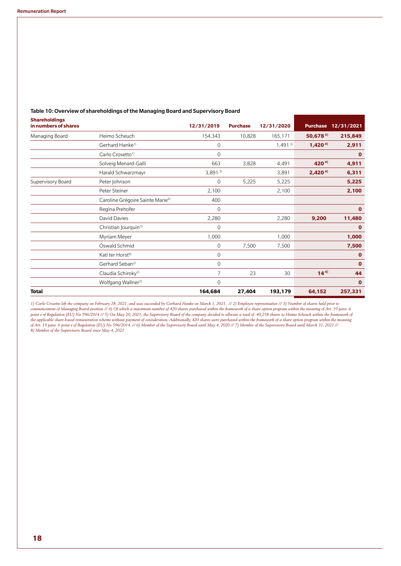| <b>Shareholdings</b><br>in numbers of shares |                                              | 12/31/2019     | <b>Purchase</b> | 12/31/2020 | <b>Purchase</b> | 12/31/2021  |
|----------------------------------------------|----------------------------------------------|----------------|-----------------|------------|-----------------|-------------|
| Managing Board                               | Heimo Scheuch                                | 154,343        | 10,828          | 165,171    | $50,678^{5}$    | 215,849     |
|                                              | Gerhard Hanke <sup>1)</sup>                  | 0              |                 | 1,4913     | $1,420^{4}$     | 2,911       |
|                                              | Carlo Crosetto <sup>1)</sup>                 | $\mathbf{0}$   |                 |            |                 | $\mathbf 0$ |
|                                              | Solveig Menard-Galli                         | 663            | 3,828           | 4,491      | $420^{4}$       | 4,911       |
|                                              | Harald Schwarzmayr                           | 3,8913         |                 | 3,891      | $2,420^{4}$     | 6,311       |
| Supervisory Board                            | Peter Johnson                                | 0              | 5,225           | 5,225      |                 | 5,225       |
|                                              | Peter Steiner                                | 2,100          |                 | 2,100      |                 | 2,100       |
|                                              | Caroline Grégoire Sainte Marie <sup>6)</sup> | 400            |                 |            |                 |             |
|                                              | Regina Prehofer                              | $\overline{0}$ |                 |            |                 | $\mathbf 0$ |
|                                              | David Davies                                 | 2,280          |                 | 2,280      | 9,200           | 11,480      |
|                                              | Christian Jourquin <sup>7)</sup>             | 0              |                 |            |                 | $\mathbf 0$ |
|                                              | Myriam Meyer                                 | 1,000          |                 | 1,000      |                 | 1,000       |
|                                              | Oswald Schmid                                | $\mathbf 0$    | 7,500           | 7,500      |                 | 7,500       |
|                                              | Kati ter Horst <sup>8)</sup>                 | 0              |                 |            |                 | $\mathbf 0$ |
|                                              | Gerhard Seban <sup>2)</sup>                  | 0              |                 |            |                 | $\mathbf 0$ |
|                                              | Claudia Schiroky <sup>2)</sup>               | 7              | 23              | 30         | $14^{4}$        | 44          |
|                                              | Wolfgang Wallner <sup>2)</sup>               | $\Omega$       |                 |            |                 | $\mathbf 0$ |
| <b>Total</b>                                 |                                              | 164,684        | 27,404          | 193,179    | 64,152          | 257,331     |

## Table 10: Overview of shareholdings of the Managing Board and Supervisory Board

*1) Carlo Crosetto left the company on February 28, 2021, and was succeeded by Gerhard Hanke on March 1, 2021. // 2) Employee representative // 3) Number of shares held prior to commencement of Managing Board position // 4) Of which a maximum number of 420 shares purchased within the framework of a share option program within the meaning of Art. 19 para .6 point e of Regulation (EU) No 596/2014 // 5) On May 20, 2021, the Supervisory Board of the company decided to allocate a total of 40,258 shares to Heimo Scheuch within the framework of*  the applicable share-based remuneration scheme without payment of consideration. Additionally, 420 shares vere purchased within the framework of a share option program within the meaning<br>of Art. 19 para. 6 point e of Regul *8) Member of the Supervisory Board since May 4, 2021*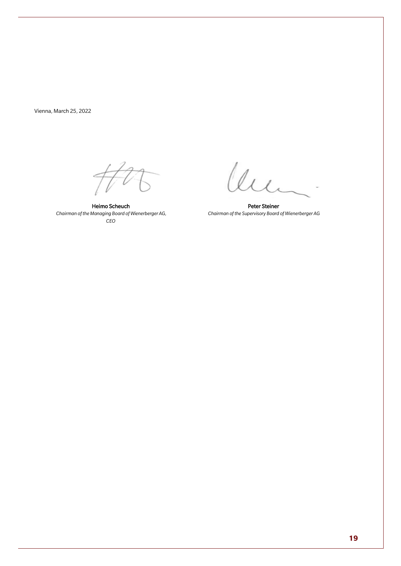Vienna, March 25, 2022

Heimo Scheuch *Chairman of the Managing Board of Wienerberger AG, CEO*

lum

Peter Steiner *Chairman of the Supervisory Board of Wienerberger AG*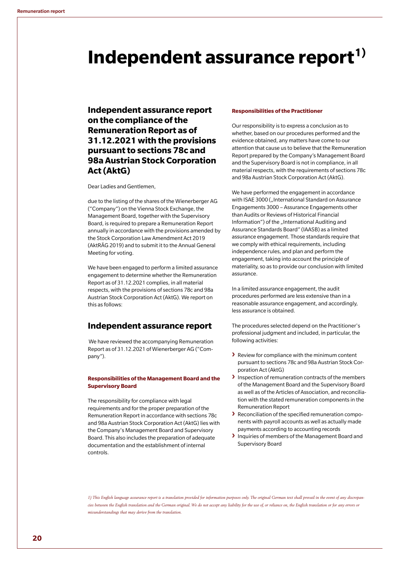# Independent assurance report<sup>1)</sup>

# **Independent assurance report on the compliance of the Remuneration Report as of 31.12.2021 with the provisions pursuant to sections 78c and 98a Austrian Stock Corporation Act (AktG)**

Dear Ladies and Gentlemen,

due to the listing of the shares of the Wienerberger AG ("Company") on the Vienna Stock Exchange, the Management Board, together with the Supervisory Board, is required to prepare a Remuneration Report annually in accordance with the provisions amended by the Stock Corporation Law Amendment Act 2019 (AktRÄG 2019) and to submit it to the Annual General Meeting for voting.

We have been engaged to perform a limited assurance engagement to determine whether the Remuneration Report as of 31.12.2021 complies, in all material respects, with the provisions of sections 78c and 98a Austrian Stock Corporation Act (AktG). We report on this as follows:

# **Independent assurance report**

We have reviewed the accompanying Remuneration Report as of 31.12.2021 of Wienerberger AG ("Company").

## **Responsibilities of the Management Board and the Supervisory Board**

The responsibility for compliance with legal requirements and for the proper preparation of the Remuneration Report in accordance with sections 78c and 98a Austrian Stock Corporation Act (AktG) lies with the Company's Management Board and Supervisory Board. This also includes the preparation of adequate documentation and the establishment of internal controls.

#### **Responsibilities of the Practitioner**

Our responsibility is to express a conclusion as to whether, based on our procedures performed and the evidence obtained, any matters have come to our attention that cause us to believe that the Remuneration Report prepared by the Company's Management Board and the Supervisory Board is not in compliance, in all material respects, with the requirements of sections 78c and 98a Austrian Stock Corporation Act (AktG).

We have performed the engagement in accordance with ISAE 3000 ("International Standard on Assurance Engagements 3000 – Assurance Engagements other than Audits or Reviews of Historical Financial Information") of the "International Auditing and Assurance Standards Board" (IAASB) as a limited assurance engagement. Those standards require that we comply with ethical requirements, including independence rules, and plan and perform the engagement, taking into account the principle of materiality, so as to provide our conclusion with limited assurance.

In a limited assurance engagement, the audit procedures performed are less extensive than in a reasonable assurance engagement, and accordingly, less assurance is obtained.

The procedures selected depend on the Practitioner's professional judgment and included, in particular, the following activities:

- **›** Review for compliance with the minimum content pursuant to sections 78c and 98a Austrian Stock Corporation Act (AktG)
- **›** Inspection of remuneration contracts of the members of the Management Board and the Supervisory Board as well as of the Articles of Association, and reconciliation with the stated remuneration components in the Remuneration Report
- **›** Reconciliation of the specified remuneration components with payroll accounts as well as actually made payments according to accounting records
- **›** Inquiries of members of the Management Board and Supervisory Board

*1) This English language assurance report is a translation provided for information purposes only. The original German text shall prevail in the event of any discrepancies between the English translation and the German original. We do not accept any liability for the use of, or reliance on, the English translation or for any errors or misunderstandings that may derive from the translation.*